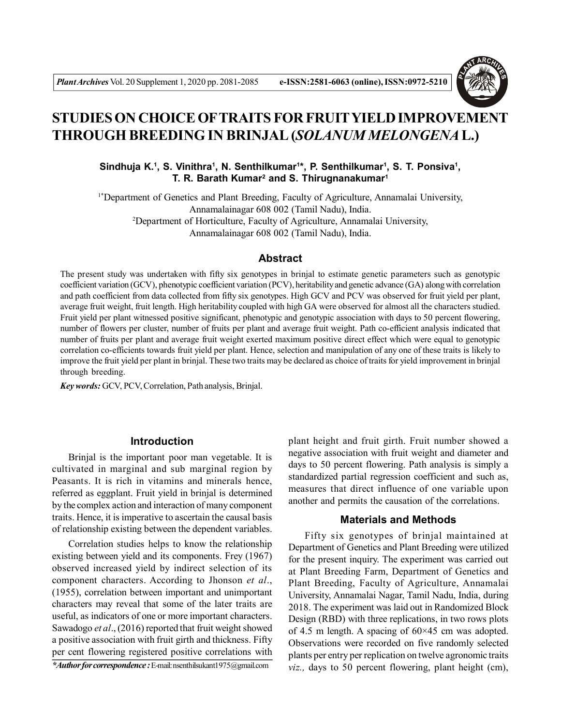

# **STUDIES ON CHOICE OFTRAITS FOR FRUITYIELDIMPROVEMENT THROUGH BREEDING IN BRINJAL (***SOLANUM MELONGENA* **L.)**

Sindhuja K.<sup>1</sup>, S. Vinithra<sup>1</sup>, N. Senthilkumar<sup>1\*</sup>, P. Senthilkumar<sup>1</sup>, S. T. Ponsiva<sup>1</sup>, **T. R. Barath Kumar<sup>2</sup> and S. Thirugnanakumar<sup>1</sup>**

1\*Department of Genetics and Plant Breeding, Faculty of Agriculture, Annamalai University, Annamalainagar 608 002 (Tamil Nadu), India. <sup>2</sup>Department of Horticulture, Faculty of Agriculture, Annamalai University, Annamalainagar 608 002 (Tamil Nadu), India.

## **Abstract**

The present study was undertaken with fifty six genotypes in brinjal to estimate genetic parameters such as genotypic coefficient variation (GCV), phenotypic coefficient variation (PCV), heritability and genetic advance (GA) along with correlation and path coefficient from data collected from fifty six genotypes. High GCV and PCV was observed for fruit yield per plant, average fruit weight, fruit length. High heritability coupled with high GA were observed for almost all the characters studied. Fruit yield per plant witnessed positive significant, phenotypic and genotypic association with days to 50 percent flowering, number of flowers per cluster, number of fruits per plant and average fruit weight. Path co-efficient analysis indicated that number of fruits per plant and average fruit weight exerted maximum positive direct effect which were equal to genotypic correlation co-efficients towards fruit yield per plant. Hence, selection and manipulation of any one of these traits is likely to improve the fruit yield per plant in brinjal. These two traits may be declared as choice of traits for yield improvement in brinjal through breeding.

*Key words:* GCV, PCV, Correlation, Path analysis, Brinjal.

### **Introduction**

Brinjal is the important poor man vegetable. It is cultivated in marginal and sub marginal region by Peasants. It is rich in vitamins and minerals hence, referred as eggplant. Fruit yield in brinjal is determined by the complex action and interaction of many component traits. Hence, it is imperative to ascertain the causal basis of relationship existing between the dependent variables.

Correlation studies helps to know the relationship existing between yield and its components. Frey (1967) observed increased yield by indirect selection of its component characters. According to Jhonson *et al*., (1955), correlation between important and unimportant characters may reveal that some of the later traits are useful, as indicators of one or more important characters. Sawadogo *et al*., (2016) reported that fruit weight showed a positive association with fruit girth and thickness. Fifty per cent flowering registered positive correlations with

*\*Author for correspondence :*E-mail: nsenthilsukant1975@gmail.com

plant height and fruit girth. Fruit number showed a negative association with fruit weight and diameter and days to 50 percent flowering. Path analysis is simply a standardized partial regression coefficient and such as, measures that direct influence of one variable upon another and permits the causation of the correlations.

## **Materials and Methods**

Fifty six genotypes of brinjal maintained at Department of Genetics and Plant Breeding were utilized for the present inquiry. The experiment was carried out at Plant Breeding Farm, Department of Genetics and Plant Breeding, Faculty of Agriculture, Annamalai University, Annamalai Nagar, Tamil Nadu, India, during 2018. The experiment was laid out in Randomized Block Design (RBD) with three replications, in two rows plots of 4.5 m length. A spacing of  $60\times45$  cm was adopted. Observations were recorded on five randomly selected plants per entry per replication on twelve agronomic traits *viz.,* days to 50 percent flowering, plant height (cm),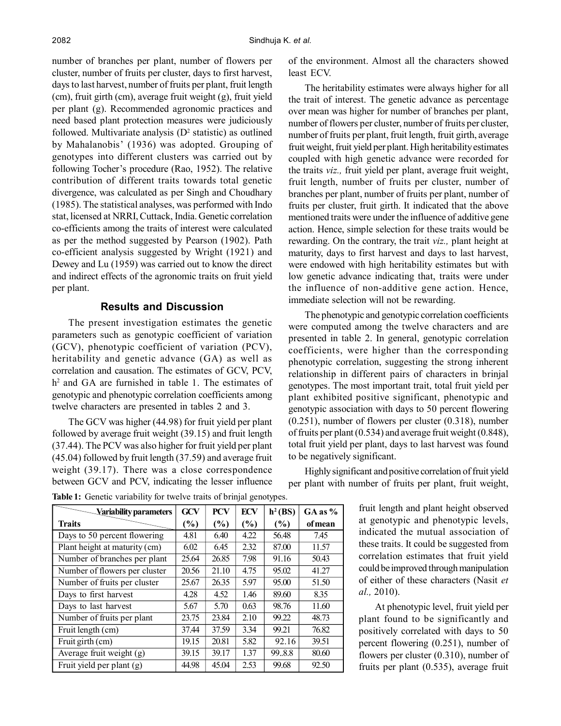number of branches per plant, number of flowers per cluster, number of fruits per cluster, days to first harvest, days to last harvest, number of fruits per plant, fruit length (cm), fruit girth (cm), average fruit weight (g), fruit yield per plant (g). Recommended agronomic practices and need based plant protection measures were judiciously followed. Multivariate analysis  $(D^2 \text{ statistic})$  as outlined by Mahalanobis' (1936) was adopted. Grouping of genotypes into different clusters was carried out by following Tocher's procedure (Rao, 1952). The relative contribution of different traits towards total genetic divergence, was calculated as per Singh and Choudhary (1985). The statistical analyses, was performed with Indo stat, licensed at NRRI, Cuttack, India. Genetic correlation co-efficients among the traits of interest were calculated as per the method suggested by Pearson (1902). Path co-efficient analysis suggested by Wright (1921) and Dewey and Lu (1959) was carried out to know the direct and indirect effects of the agronomic traits on fruit yield per plant.

#### **Results and Discussion**

The present investigation estimates the genetic parameters such as genotypic coefficient of variation (GCV), phenotypic coefficient of variation (PCV), heritability and genetic advance (GA) as well as correlation and causation. The estimates of GCV, PCV, h 2 and GA are furnished in table 1. The estimates of genotypic and phenotypic correlation coefficients among twelve characters are presented in tables 2 and 3.

The GCV was higher (44.98) for fruit yield per plant followed by average fruit weight (39.15) and fruit length (37.44). The PCV was also higher for fruit yield per plant (45.04) followed by fruit length (37.59) and average fruit weight (39.17). There was a close correspondence between GCV and PCV, indicating the lesser influence of the environment. Almost all the characters showed least ECV.

The heritability estimates were always higher for all the trait of interest. The genetic advance as percentage over mean was higher for number of branches per plant, number of flowers per cluster, number of fruits per cluster, number of fruits per plant, fruit length, fruit girth, average fruit weight, fruit yield per plant. High heritability estimates coupled with high genetic advance were recorded for the traits *viz.,* fruit yield per plant, average fruit weight, fruit length, number of fruits per cluster, number of branches per plant, number of fruits per plant, number of fruits per cluster, fruit girth. It indicated that the above mentioned traits were under the influence of additive gene action. Hence, simple selection for these traits would be rewarding. On the contrary, the trait *viz.,* plant height at maturity, days to first harvest and days to last harvest, were endowed with high heritability estimates but with low genetic advance indicating that, traits were under the influence of non-additive gene action. Hence, immediate selection will not be rewarding.

The phenotypic and genotypic correlation coefficients were computed among the twelve characters and are presented in table 2. In general, genotypic correlation coefficients, were higher than the corresponding phenotypic correlation, suggesting the strong inherent relationship in different pairs of characters in brinjal genotypes. The most important trait, total fruit yield per plant exhibited positive significant, phenotypic and genotypic association with days to 50 percent flowering (0.251), number of flowers per cluster (0.318), number of fruits per plant (0.534) and average fruit weight (0.848), total fruit yield per plant, days to last harvest was found to be negatively significant.

Highly significant and positive correlation of fruit yield per plant with number of fruits per plant, fruit weight,

| Variability parameters        | <b>GCV</b> | <b>PCV</b> | <b>ECV</b> | $h^2(BS)$ | $GA$ as $%$ |
|-------------------------------|------------|------------|------------|-----------|-------------|
| <b>Traits</b>                 | (%)        | (%)        | (%)        | $(\%)$    | of mean     |
| Days to 50 percent flowering  | 4.81       | 6.40       | 4.22       | 56.48     | 7.45        |
| Plant height at maturity (cm) | 6.02       | 6.45       | 2.32       | 87.00     | 11.57       |
| Number of branches per plant  | 25.64      | 26.85      | 7.98       | 91.16     | 50.43       |
| Number of flowers per cluster | 20.56      | 21.10      | 4.75       | 95.02     | 41.27       |
| Number of fruits per cluster  | 25.67      | 26.35      | 5.97       | 95.00     | 51.50       |
| Days to first harvest         | 4.28       | 4.52       | 1.46       | 89.60     | 8.35        |
| Days to last harvest          | 5.67       | 5.70       | 0.63       | 98.76     | 11.60       |
| Number of fruits per plant    | 23.75      | 23.84      | 2.10       | 99.22     | 48.73       |
| Fruit length (cm)             | 37.44      | 37.59      | 3.34       | 99.21     | 76.82       |
| Fruit girth (cm)              | 19.15      | 20.81      | 5.82       | 92.16     | 39.51       |
| Average fruit weight (g)      | 39.15      | 39.17      | 1.37       | 99.8.8    | 80.60       |
| Fruit yield per plant (g)     | 44.98      | 45.04      | 2.53       | 99.68     | 92.50       |

**Table 1:** Genetic variability for twelve traits of brinjal genotypes.

fruit length and plant height observed at genotypic and phenotypic levels, indicated the mutual association of these traits. It could be suggested from correlation estimates that fruit yield could be improved through manipulation of either of these characters (Nasit *et al.,* 2010).

At phenotypic level, fruit yield per plant found to be significantly and positively correlated with days to 50 percent flowering (0.251), number of flowers per cluster (0.310), number of fruits per plant (0.535), average fruit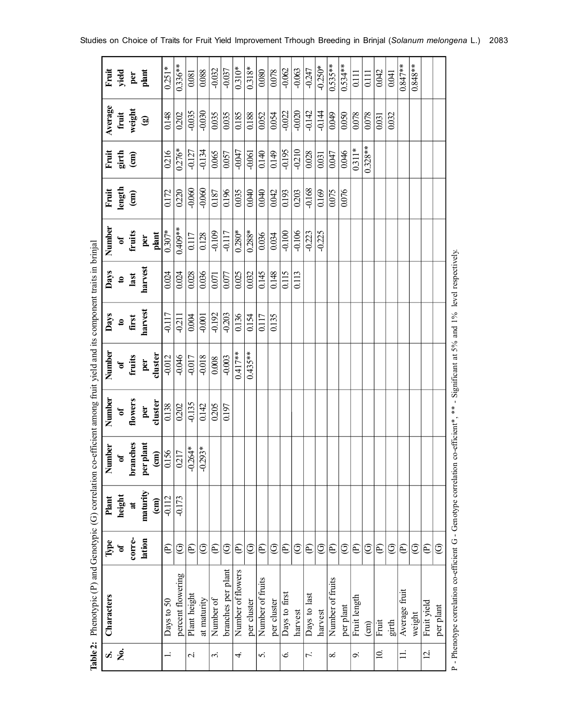| Characters         | <b>Type</b>    | Plant           | Number         | Number       | Number     | Days      | Days               | Number             | Fruit                  | Fruit          | Average        | Fruit            |
|--------------------|----------------|-----------------|----------------|--------------|------------|-----------|--------------------|--------------------|------------------------|----------------|----------------|------------------|
|                    | ัธ             | height          | $\mathfrak{h}$ | $\mathbf{a}$ | ð          | $\bullet$ | $\mathbf{a}$       | ð                  | length                 | girth          | fruit          | yield            |
|                    | corre-         | $\sharp$        | branches       | flowers      | fruits     | first     | last               | fruits             | $\widehat{\mathbf{g}}$ | $\binom{m}{n}$ | weight         | per              |
|                    | lation         | maturity        | per plant      | per          | per        | harvest   | harvest            | per                |                        |                | $\circledcirc$ | plan             |
|                    |                | $\binom{cm}{2}$ | $\binom{m}{n}$ | cluster      | cluster    |           |                    | plant              |                        |                |                |                  |
| Days to 50         | E              | $-0.112$        | 0.156          | 0.138        | $-0.012$   | $-0.117$  | 0.024              | $0.307*$           | 0.172                  | 0216           | 0.148          | $0.251*$         |
| percent flowering  | ☉              | $-0.173$        | 0217           | 0.202        | $-0.046$   | $-0.211$  | 0.024              | $0.409**$          | 0.220                  | $0.276*$       | 0.202          | $0.336***$       |
| Plant height       | E              |                 | $-0.264*$      | $-0.135$     | $-0.017$   | 0.004     | 0.028              | 0.117              | $-0.060$               | $-0.127$       | $-0.035$       | 0.081            |
| at maturity        | ℭ              |                 | $-0.293*$      | 0.142        | $-0.018$   | $-0.001$  | 0.036              | 0.128              | $-0.060$               | $-0.134$       | $-0.030$       | 0.088            |
| Number of          | E              |                 |                | 0.205        | 0.008      | $-0.192$  | 0.071              | $-0.109$           | 0.187                  | 0.065          | 0.035          | $-0.032$         |
| branches per plant | ල              |                 |                | 0.197        | $-0.003$   | $-0.203$  | 0.077              | $-0.117$           | 0.196                  | 0.057          | 0.035          | $-0.037$         |
| Number of flowers  | E              |                 |                |              | $0.417**$  | 0.136     | $\overline{0.025}$ | $\frac{1}{0.280*}$ | 0.035                  | $-0.047$       | 0.185          | $0.310*$         |
| per cluster        | ල              |                 |                |              | $0.435***$ | 0.154     | 0.032              | $0.288*$           | 0.040                  | $-0.061$       | 0.188          | $0.318*$         |
| Number of fruits   | E              |                 |                |              |            | 0.117     | 0.145              | 0.036              | 0.040                  | 0.140          | 0.052          | 0.080            |
| per cluster        | ල              |                 |                |              |            | 0.135     | 0.148              | 0.034              | 0.042                  | 0.149          | 0.054          | 0.078            |
| Days to first      | E              |                 |                |              |            |           | 0.115              | $-0.100$           | 0.193                  | $-0.195$       | $-0.022$       | $-0.062$         |
| harvest            | ಲಿ             |                 |                |              |            |           | 0.113              | $-0.106$           | 0.203                  | $-0.210$       | $-0.020$       | $-0.063$         |
| Days to last       | E              |                 |                |              |            |           |                    | $-0.223$           | $-0.168$               | 0.028          | $-0.142$       | $-0.247$         |
| harvest            | ℭ              |                 |                |              |            |           |                    | $-0.225$           | 0.169                  | 0.031          | $-0.144$       | $-0.250*$        |
| Number of fruits   | E              |                 |                |              |            |           |                    |                    | 0.075                  | 0.047          | 0.049          | $0.535***$       |
| per plant          | ල              |                 |                |              |            |           |                    |                    | 0.076                  | 0.046          | 0.050          | $0.534**$        |
| Fruit length       | $\mathfrak{S}$ |                 |                |              |            |           |                    |                    |                        | $0.311*$       | 0.078          | $\overline{0}$ . |
|                    | ල              |                 |                |              |            |           |                    |                    |                        | $0.328**$      | 0.078          | 0.111            |
|                    | E              |                 |                |              |            |           |                    |                    |                        |                | 0.031          | 0.042            |
|                    | ල              |                 |                |              |            |           |                    |                    |                        |                | 0.032          | 0.041            |
| fruit<br>Average   | E              |                 |                |              |            |           |                    |                    |                        |                |                | $0.847**$        |
|                    | ℭ              |                 |                |              |            |           |                    |                    |                        |                |                | $0.848**$        |
| Fruit yield        | $\mathfrak{E}$ |                 |                |              |            |           |                    |                    |                        |                |                |                  |
| per plant          | ල              |                 |                |              |            |           |                    |                    |                        |                |                |                  |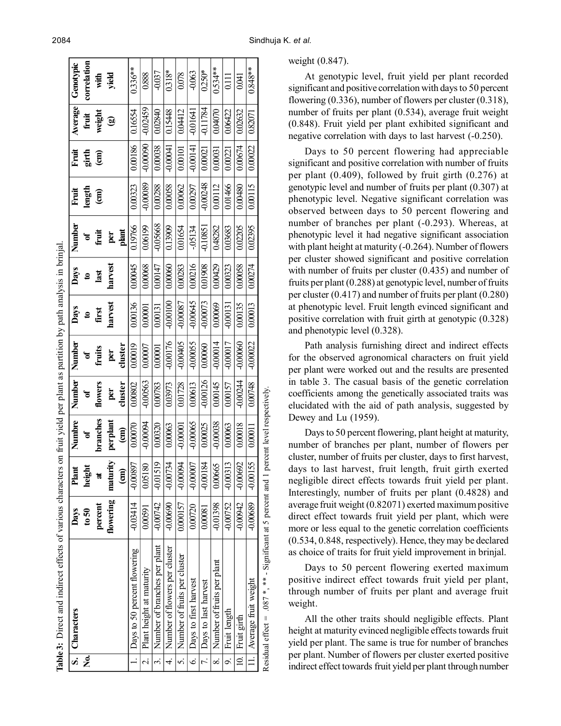|                          | Table 3: Direct and indirect effects of various characters on fruit yield per plant as partition by path analysis in brinjal |            |                                  |                             |            |                 |             |             |              |                |               |            |             |
|--------------------------|------------------------------------------------------------------------------------------------------------------------------|------------|----------------------------------|-----------------------------|------------|-----------------|-------------|-------------|--------------|----------------|---------------|------------|-------------|
| $\overline{\mathbf{s}}$  | Characters                                                                                                                   | Days       | $\overline{\phantom{a}}$<br>Plan | Numbre                      | Number     | Number          | <b>Days</b> | <b>Days</b> | Number       | Fruit          | <b>Fruit</b>  | Average    | Genotypic   |
| ż                        |                                                                                                                              | $t_0$ 50   | height                           | ð                           | ð          | 'ಕ              | $\bullet$   | 3           | ð            |                | girth<br>(em  | fruit      | correlation |
|                          |                                                                                                                              | percent    | đ                                | branches                    | flowers    | fruits          | first       | last        | fruit        | length<br>(cm) |               | weight     | with        |
|                          |                                                                                                                              | flowering  | maturity                         | perplant                    | per        | per             | harvest     | harvest     |              |                |               | ම          | yield       |
|                          |                                                                                                                              |            | $\widehat{\mathbf{g}}$           | $\binom{cm}{c}$             | cluster    | cluster         |             |             | per<br>plant |                |               |            |             |
|                          | Days to 50 percent flowering                                                                                                 | -0.03414   | -0.00897                         | 0.00070                     | 0.00802    | 0.00019         | 0.00136     | 0.00045     | 0.19766      | 0.00323        | 0.00186       | 0.16554    | $0.336***$  |
| $\mathcal{L}$            | Plant height at maturity                                                                                                     | 0.00591    | 0.05180                          | -0.00094                    | $-0.00563$ | 0.00007         | 0.00001     | 0.00068     | 0.06199      | $-0.00089$     | 000000        | -0.02459   | 0.888       |
| 3.                       | Number of branches per plant                                                                                                 | -0.00742   | -0.01519                         | 0.00320                     | 0.00783    | 0.00001         | 0.00131     | 0.00147     | -0.05668     | 0.00288        | 0.00038       | 0.02840    | $-0.037$    |
| 4.                       | Number of flowers per cluster                                                                                                | $-0.00690$ | <b>FELOOTO</b>                   | 0.00063                     | 0.03973    | $-0.00176$      | $-0.00100$  | 0.00060     | 0.13909      | 0.00058        | <b>FR0001</b> | 0.15448    | $0.318*$    |
| S.                       | Number of fruits per cluster                                                                                                 | 0.000157   | $+0.00094$                       | $-0.00001$                  | 0.01728    | <b>200000-0</b> | -0.00087    | 0.00283     | 0.01654      | 0.00062        | 0.00101       | 0.0412     | 0.078       |
| $\ddot{\circ}$           | Days to first harvest                                                                                                        | 000720     | -0.00007                         | $-0.00065$                  | 0.00613    | $-0.00055$      | $-0.00645$  | 0.00216     | $-05134$     | 0.00297        | $-0.00141$    | $-0.01641$ | $-0.063$    |
| $\overline{7}$ .         | Days to last harvest                                                                                                         | 0.00081    | $-0.00184$                       | 0.00025                     | $-0.00126$ | 0.00060         | $-0.00073$  | 0.01908     | $-0.10851$   | -0.00248       | 0.00021       | $-0.11784$ | $0.250*$    |
| $\infty$                 | Number of fruits per plant                                                                                                   | -0.01398   | 0.00665                          | -0.00038                    | 0.00145    | $-0.00014$      | 0.00069     | 0.00429     | 0.48282      | 0.00112        | 0.00031       | 0.04070    | $0.534**$   |
| $\overline{\mathcal{S}}$ | Fruit length                                                                                                                 | $-0.00752$ | $-0.00313$                       | 0.00063                     | 0.00157    | $-0.00017$      | $-0.00131$  | 0.00323     | 0.03683      | 0.01466        | 0.00221       | 0.06422    | 0.111       |
| $\overline{0}$           | Fruit girth                                                                                                                  | -0.00942   | -0.00692                         | 0.00018                     | -0.00244   | $-0.00060$      | 0.00135     | 0.00058     | 0.02205      | 0.00480        | 0.00674       | 0.02632    | (100)       |
| $\equiv$                 | Average fruit weight                                                                                                         | -0.00689   | $-0.00155$                       | 0.00011                     | 0.00748    | $-0.00022$      | 0.00013     | 0.00274     | 0.02395      | 0.00115        | 0.00022       | 0.82071    | $0.848**$   |
|                          | Residual effect = .087 $*$ , $**$ - Significant at 5 percent and 1                                                           |            |                                  | percent level respectively. |            |                 |             |             |              |                |               |            |             |

At genotypic level, fruit yield per plant recorded significant and positive correlation with days to 50 percent flowering (0.336), number of flowers per cluster (0.318), number of fruits per plant (0.534), average fruit weight (0.848). Fruit yield per plant exhibited significant and negative correlation with days to last harvest (-0.250).

Days to 50 percent flowering had appreciable significant and positive correlation with number of fruits per plant (0.409), followed by fruit girth (0.276) at genotypic level and number of fruits per plant (0.307) at phenotypic level. Negative significant correlation was observed between days to 50 percent flowering and number of branches per plant (-0.293). Whereas, at phenotypic level it had negative significant association with plant height at maturity (-0.264). Number of flowers per cluster showed significant and positive correlation with number of fruits per cluster (0.435) and number of fruits per plant (0.288) at genotypic level, number of fruits per cluster (0.417) and number of fruits per plant (0.280) at phenotypic level. Fruit length evinced significant and positive correlation with fruit girth at genotypic (0.328) and phenotypic level (0.328).

Path analysis furnishing direct and indirect effects for the observed agronomical characters on fruit yield per plant were worked out and the results are presented in table 3. The casual basis of the genetic correlation coefficients among the genetically associated traits was elucidated with the aid of path analysis, suggested by Dewey and Lu (1959).

Days to 50 percent flowering, plant height at maturity, number of branches per plant, number of flowers per cluster, number of fruits per cluster, days to first harvest, days to last harvest, fruit length, fruit girth exerted negligible direct effects towards fruit yield per plant. Interestingly, number of fruits per plant (0.4828) and average fruit weight (0.82071) exerted maximum positive direct effect towards fruit yield per plant, which were more or less equal to the genetic correlation coefficients (0.534, 0.848, respectively). Hence, they may be declared as choice of traits for fruit yield improvement in brinjal.

Days to 50 percent flowering exerted maximum positive indirect effect towards fruit yield per plant, through number of fruits per plant and average fruit weight.

All the other traits should negligible effects. Plant height at maturity evinced negligible effects towards fruit yield per plant. The same is true for number of branches per plant. Number of flowers per cluster exerted positive indirect effect towards fruit yield per plant through number